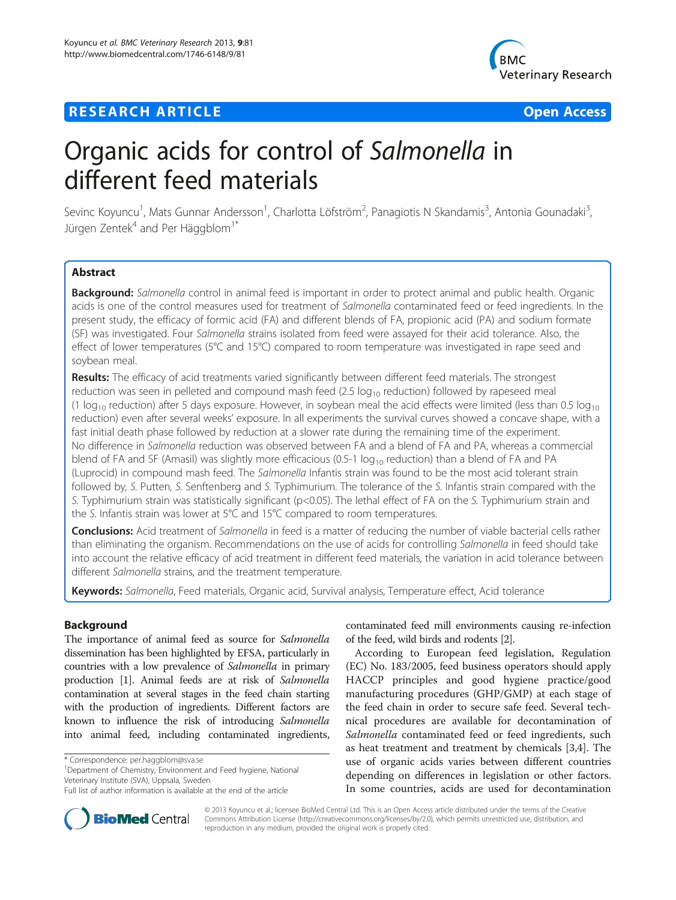## **RESEARCH ARTICLE Example 2014 12:30 THE Open Access**



# Organic acids for control of Salmonella in different feed materials

Sevinc Koyuncu<sup>1</sup>, Mats Gunnar Andersson<sup>1</sup>, Charlotta Löfström<sup>2</sup>, Panagiotis N Skandamis<sup>3</sup>, Antonia Gounadaki<sup>3</sup> , Jürgen Zentek<sup>4</sup> and Per Häggblom<sup>1\*</sup>

## **Abstract**

Background: Salmonella control in animal feed is important in order to protect animal and public health. Organic acids is one of the control measures used for treatment of Salmonella contaminated feed or feed ingredients. In the present study, the efficacy of formic acid (FA) and different blends of FA, propionic acid (PA) and sodium formate (SF) was investigated. Four Salmonella strains isolated from feed were assayed for their acid tolerance. Also, the effect of lower temperatures (5°C and 15°C) compared to room temperature was investigated in rape seed and soybean meal.

Results: The efficacy of acid treatments varied significantly between different feed materials. The strongest reduction was seen in pelleted and compound mash feed  $(2.5 \log_{10}$  reduction) followed by rapeseed meal (1  $log_{10}$  reduction) after 5 days exposure. However, in soybean meal the acid effects were limited (less than 0.5  $log_{10}$ reduction) even after several weeks' exposure. In all experiments the survival curves showed a concave shape, with a fast initial death phase followed by reduction at a slower rate during the remaining time of the experiment. No difference in Salmonella reduction was observed between FA and a blend of FA and PA, whereas a commercial blend of FA and SF (Amasil) was slightly more efficacious (0.5-1  $log_{10}$  reduction) than a blend of FA and PA (Luprocid) in compound mash feed. The Salmonella Infantis strain was found to be the most acid tolerant strain followed by, S. Putten, S. Senftenberg and S. Typhimurium. The tolerance of the S. Infantis strain compared with the S. Typhimurium strain was statistically significant (p<0.05). The lethal effect of FA on the S. Typhimurium strain and the S. Infantis strain was lower at 5°C and 15°C compared to room temperatures.

Conclusions: Acid treatment of Salmonella in feed is a matter of reducing the number of viable bacterial cells rather than eliminating the organism. Recommendations on the use of acids for controlling Salmonella in feed should take into account the relative efficacy of acid treatment in different feed materials, the variation in acid tolerance between different Salmonella strains, and the treatment temperature.

Keywords: Salmonella, Feed materials, Organic acid, Survival analysis, Temperature effect, Acid tolerance

## Background

The importance of animal feed as source for Salmonella dissemination has been highlighted by EFSA, particularly in countries with a low prevalence of Salmonella in primary production [[1](#page-8-0)]. Animal feeds are at risk of Salmonella contamination at several stages in the feed chain starting with the production of ingredients. Different factors are known to influence the risk of introducing Salmonella into animal feed, including contaminated ingredients,

<sup>1</sup>Department of Chemistry, Environment and Feed hygiene, National Veterinary Institute (SVA), Uppsala, Sweden

contaminated feed mill environments causing re-infection of the feed, wild birds and rodents [\[2\]](#page-8-0).

According to European feed legislation, Regulation (EC) No. 183/2005, feed business operators should apply HACCP principles and good hygiene practice/good manufacturing procedures (GHP/GMP) at each stage of the feed chain in order to secure safe feed. Several technical procedures are available for decontamination of Salmonella contaminated feed or feed ingredients, such as heat treatment and treatment by chemicals [[3,4\]](#page-8-0). The use of organic acids varies between different countries depending on differences in legislation or other factors. In some countries, acids are used for decontamination



© 2013 Koyuncu et al.; licensee BioMed Central Ltd. This is an Open Access article distributed under the terms of the Creative Commons Attribution License [\(http://creativecommons.org/licenses/by/2.0\)](http://creativecommons.org/licenses/by/2.0), which permits unrestricted use, distribution, and reproduction in any medium, provided the original work is properly cited.

<sup>\*</sup> Correspondence: [per.haggblom@sva.se](mailto:per.haggblom@sva.se) <sup>1</sup>

Full list of author information is available at the end of the article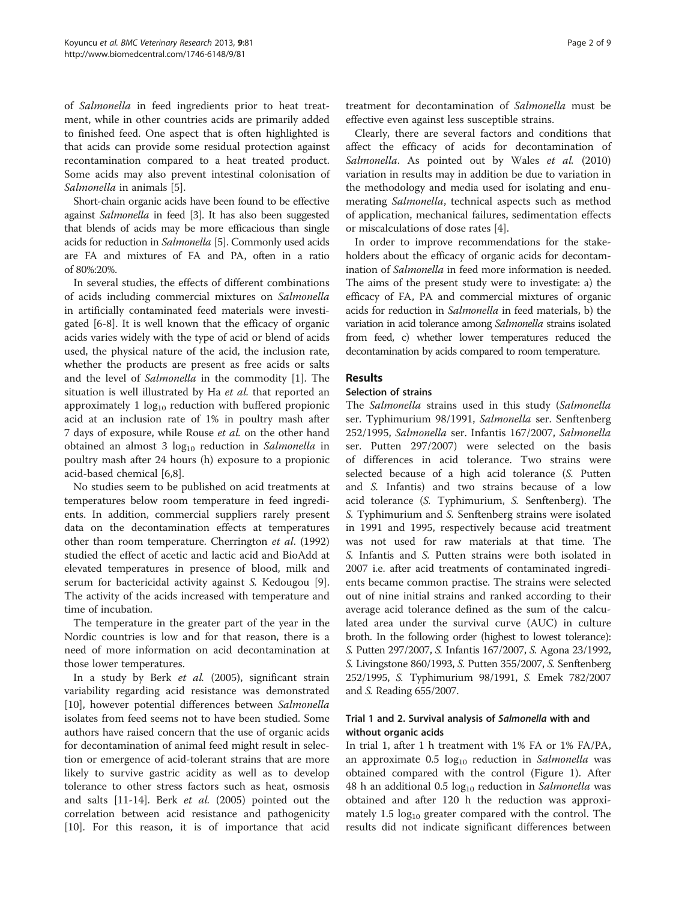of Salmonella in feed ingredients prior to heat treatment, while in other countries acids are primarily added to finished feed. One aspect that is often highlighted is that acids can provide some residual protection against recontamination compared to a heat treated product. Some acids may also prevent intestinal colonisation of Salmonella in animals [\[5](#page-8-0)].

Short-chain organic acids have been found to be effective against Salmonella in feed [\[3\]](#page-8-0). It has also been suggested that blends of acids may be more efficacious than single acids for reduction in Salmonella [[5](#page-8-0)]. Commonly used acids are FA and mixtures of FA and PA, often in a ratio of 80%:20%.

In several studies, the effects of different combinations of acids including commercial mixtures on Salmonella in artificially contaminated feed materials were investigated [\[6](#page-8-0)-[8\]](#page-8-0). It is well known that the efficacy of organic acids varies widely with the type of acid or blend of acids used, the physical nature of the acid, the inclusion rate, whether the products are present as free acids or salts and the level of Salmonella in the commodity [\[1\]](#page-8-0). The situation is well illustrated by Ha et al. that reported an approximately 1  $log_{10}$  reduction with buffered propionic acid at an inclusion rate of 1% in poultry mash after 7 days of exposure, while Rouse et al. on the other hand obtained an almost 3  $log_{10}$  reduction in Salmonella in poultry mash after 24 hours (h) exposure to a propionic acid-based chemical [\[6,8](#page-8-0)].

No studies seem to be published on acid treatments at temperatures below room temperature in feed ingredients. In addition, commercial suppliers rarely present data on the decontamination effects at temperatures other than room temperature. Cherrington et al. (1992) studied the effect of acetic and lactic acid and BioAdd at elevated temperatures in presence of blood, milk and serum for bactericidal activity against S. Kedougou [\[9](#page-8-0)]. The activity of the acids increased with temperature and time of incubation.

The temperature in the greater part of the year in the Nordic countries is low and for that reason, there is a need of more information on acid decontamination at those lower temperatures.

In a study by Berk et al. (2005), significant strain variability regarding acid resistance was demonstrated [[10\]](#page-8-0), however potential differences between Salmonella isolates from feed seems not to have been studied. Some authors have raised concern that the use of organic acids for decontamination of animal feed might result in selection or emergence of acid-tolerant strains that are more likely to survive gastric acidity as well as to develop tolerance to other stress factors such as heat, osmosis and salts  $[11-14]$  $[11-14]$ . Berk *et al.* (2005) pointed out the correlation between acid resistance and pathogenicity [[10\]](#page-8-0). For this reason, it is of importance that acid

treatment for decontamination of Salmonella must be effective even against less susceptible strains.

Clearly, there are several factors and conditions that affect the efficacy of acids for decontamination of Salmonella. As pointed out by Wales et al. (2010) variation in results may in addition be due to variation in the methodology and media used for isolating and enumerating Salmonella, technical aspects such as method of application, mechanical failures, sedimentation effects or miscalculations of dose rates [\[4](#page-8-0)].

In order to improve recommendations for the stakeholders about the efficacy of organic acids for decontamination of Salmonella in feed more information is needed. The aims of the present study were to investigate: a) the efficacy of FA, PA and commercial mixtures of organic acids for reduction in Salmonella in feed materials, b) the variation in acid tolerance among Salmonella strains isolated from feed, c) whether lower temperatures reduced the decontamination by acids compared to room temperature.

## Results

#### Selection of strains

The Salmonella strains used in this study (Salmonella ser. Typhimurium 98/1991, Salmonella ser. Senftenberg 252/1995, Salmonella ser. Infantis 167/2007, Salmonella ser. Putten 297/2007) were selected on the basis of differences in acid tolerance. Two strains were selected because of a high acid tolerance (S. Putten and S. Infantis) and two strains because of a low acid tolerance (S. Typhimurium, S. Senftenberg). The S. Typhimurium and S. Senftenberg strains were isolated in 1991 and 1995, respectively because acid treatment was not used for raw materials at that time. The S. Infantis and S. Putten strains were both isolated in 2007 i.e. after acid treatments of contaminated ingredients became common practise. The strains were selected out of nine initial strains and ranked according to their average acid tolerance defined as the sum of the calculated area under the survival curve (AUC) in culture broth. In the following order (highest to lowest tolerance): S. Putten 297/2007, S. Infantis 167/2007, S. Agona 23/1992, S. Livingstone 860/1993, S. Putten 355/2007, S. Senftenberg 252/1995, S. Typhimurium 98/1991, S. Emek 782/2007 and S. Reading 655/2007.

## Trial 1 and 2. Survival analysis of Salmonella with and without organic acids

In trial 1, after 1 h treatment with 1% FA or 1% FA/PA, an approximate  $0.5 \log_{10}$  reduction in Salmonella was obtained compared with the control (Figure [1\)](#page-2-0). After 48 h an additional 0.5  $log_{10}$  reduction in Salmonella was obtained and after 120 h the reduction was approximately 1.5  $log_{10}$  greater compared with the control. The results did not indicate significant differences between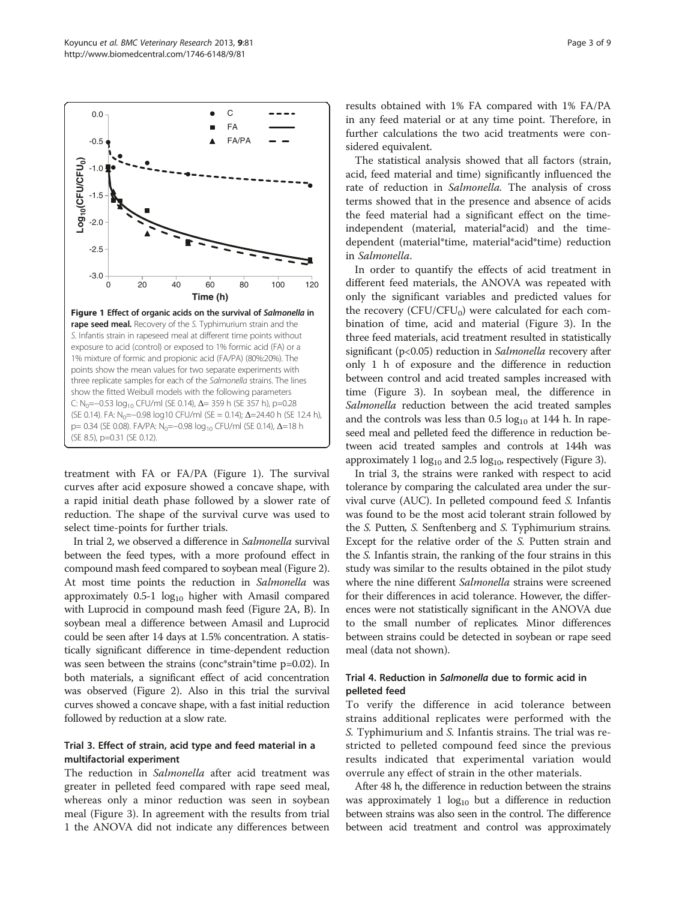treatment with FA or FA/PA (Figure 1). The survival curves after acid exposure showed a concave shape, with a rapid initial death phase followed by a slower rate of reduction. The shape of the survival curve was used to select time-points for further trials.

In trial 2, we observed a difference in Salmonella survival between the feed types, with a more profound effect in compound mash feed compared to soybean meal (Figure [2](#page-3-0)). At most time points the reduction in Salmonella was approximately  $0.5-1$  log<sub>10</sub> higher with Amasil compared with Luprocid in compound mash feed (Figure [2](#page-3-0)A, B). In soybean meal a difference between Amasil and Luprocid could be seen after 14 days at 1.5% concentration. A statistically significant difference in time-dependent reduction was seen between the strains (conc\*strain\*time p=0.02). In both materials, a significant effect of acid concentration was observed (Figure [2](#page-3-0)). Also in this trial the survival curves showed a concave shape, with a fast initial reduction followed by reduction at a slow rate.

#### Trial 3. Effect of strain, acid type and feed material in a multifactorial experiment

The reduction in Salmonella after acid treatment was greater in pelleted feed compared with rape seed meal, whereas only a minor reduction was seen in soybean meal (Figure [3\)](#page-4-0). In agreement with the results from trial 1 the ANOVA did not indicate any differences between

results obtained with 1% FA compared with 1% FA/PA in any feed material or at any time point. Therefore, in further calculations the two acid treatments were considered equivalent.

The statistical analysis showed that all factors (strain, acid, feed material and time) significantly influenced the rate of reduction in *Salmonella*. The analysis of cross terms showed that in the presence and absence of acids the feed material had a significant effect on the timeindependent (material, material\*acid) and the timedependent (material\*time, material\*acid\*time) reduction in Salmonella.

In order to quantify the effects of acid treatment in different feed materials, the ANOVA was repeated with only the significant variables and predicted values for the recovery (CFU/CFU<sub>0</sub>) were calculated for each combination of time, acid and material (Figure [3\)](#page-4-0). In the three feed materials, acid treatment resulted in statistically significant (p<0.05) reduction in Salmonella recovery after only 1 h of exposure and the difference in reduction between control and acid treated samples increased with time (Figure [3\)](#page-4-0). In soybean meal, the difference in Salmonella reduction between the acid treated samples and the controls was less than  $0.5 \log_{10} at 144$  h. In rapeseed meal and pelleted feed the difference in reduction between acid treated samples and controls at 144h was approximately 1  $log_{10}$  and 2.5  $log_{10}$ , respectively (Figure [3](#page-4-0)).

In trial 3, the strains were ranked with respect to acid tolerance by comparing the calculated area under the survival curve (AUC). In pelleted compound feed S. Infantis was found to be the most acid tolerant strain followed by the S. Putten, S. Senftenberg and S. Typhimurium strains. Except for the relative order of the S. Putten strain and the S. Infantis strain, the ranking of the four strains in this study was similar to the results obtained in the pilot study where the nine different Salmonella strains were screened for their differences in acid tolerance. However, the differences were not statistically significant in the ANOVA due to the small number of replicates. Minor differences between strains could be detected in soybean or rape seed meal (data not shown).

## Trial 4. Reduction in Salmonella due to formic acid in pelleted feed

To verify the difference in acid tolerance between strains additional replicates were performed with the S. Typhimurium and S. Infantis strains. The trial was restricted to pelleted compound feed since the previous results indicated that experimental variation would overrule any effect of strain in the other materials.

After 48 h, the difference in reduction between the strains was approximately 1  $log_{10}$  but a difference in reduction between strains was also seen in the control. The difference between acid treatment and control was approximately

<span id="page-2-0"></span>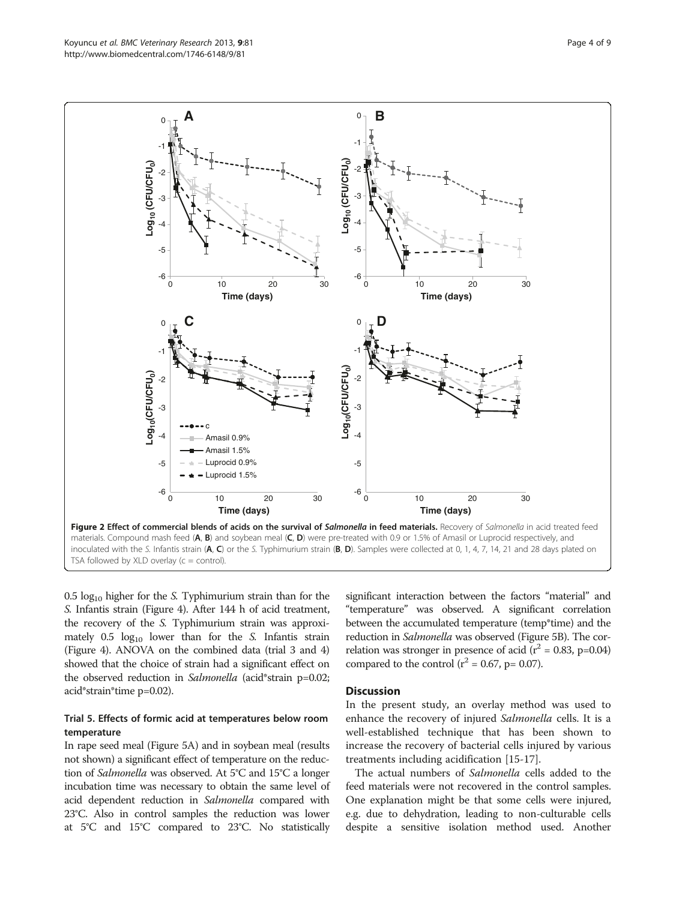$0.5 \text{ log}_{10}$  higher for the S. Typhimurium strain than for the S. Infantis strain (Figure [4](#page-4-0)). After 144 h of acid treatment, the recovery of the S. Typhimurium strain was approximately  $0.5 \log_{10}$  lower than for the S. Infantis strain (Figure [4\)](#page-4-0). ANOVA on the combined data (trial 3 and 4) showed that the choice of strain had a significant effect on the observed reduction in Salmonella (acid\*strain p=0.02; acid\*strain\*time p=0.02).

#### Trial 5. Effects of formic acid at temperatures below room temperature

In rape seed meal (Figure [5](#page-4-0)A) and in soybean meal (results not shown) a significant effect of temperature on the reduction of Salmonella was observed. At 5°C and 15°C a longer incubation time was necessary to obtain the same level of acid dependent reduction in Salmonella compared with 23°C. Also in control samples the reduction was lower at 5°C and 15°C compared to 23°C. No statistically

significant interaction between the factors "material" and "temperature" was observed. A significant correlation between the accumulated temperature (temp\*time) and the reduction in Salmonella was observed (Figure [5](#page-4-0)B). The correlation was stronger in presence of acid ( $r^2$  = 0.83, p=0.04) compared to the control ( $r^2$  = 0.67, p= 0.07).

#### **Discussion**

In the present study, an overlay method was used to enhance the recovery of injured Salmonella cells. It is a well-established technique that has been shown to increase the recovery of bacterial cells injured by various treatments including acidification [\[15](#page-8-0)-[17\]](#page-8-0).

The actual numbers of Salmonella cells added to the feed materials were not recovered in the control samples. One explanation might be that some cells were injured, e.g. due to dehydration, leading to non-culturable cells despite a sensitive isolation method used. Another

<span id="page-3-0"></span>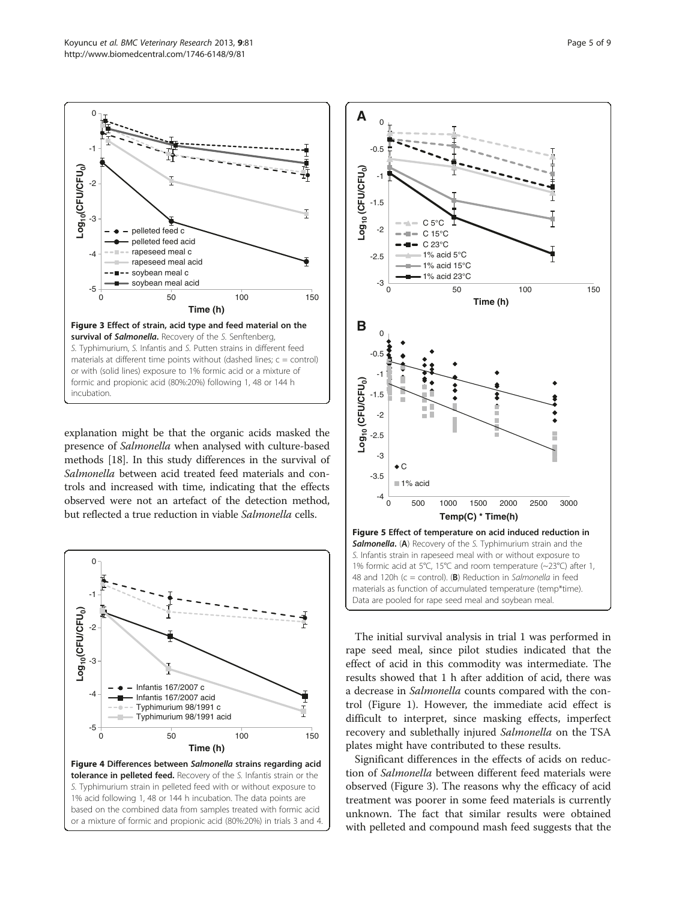<span id="page-4-0"></span>

explanation might be that the organic acids masked the presence of Salmonella when analysed with culture-based methods [\[18\]](#page-8-0). In this study differences in the survival of Salmonella between acid treated feed materials and controls and increased with time, indicating that the effects observed were not an artefact of the detection method, but reflected a true reduction in viable Salmonella cells.



or a mixture of formic and propionic acid (80%:20%) in trials 3 and 4.



The initial survival analysis in trial 1 was performed in rape seed meal, since pilot studies indicated that the effect of acid in this commodity was intermediate. The results showed that 1 h after addition of acid, there was a decrease in Salmonella counts compared with the control (Figure [1](#page-2-0)). However, the immediate acid effect is difficult to interpret, since masking effects, imperfect recovery and sublethally injured Salmonella on the TSA plates might have contributed to these results.

Significant differences in the effects of acids on reduction of Salmonella between different feed materials were observed (Figure 3). The reasons why the efficacy of acid treatment was poorer in some feed materials is currently unknown. The fact that similar results were obtained with pelleted and compound mash feed suggests that the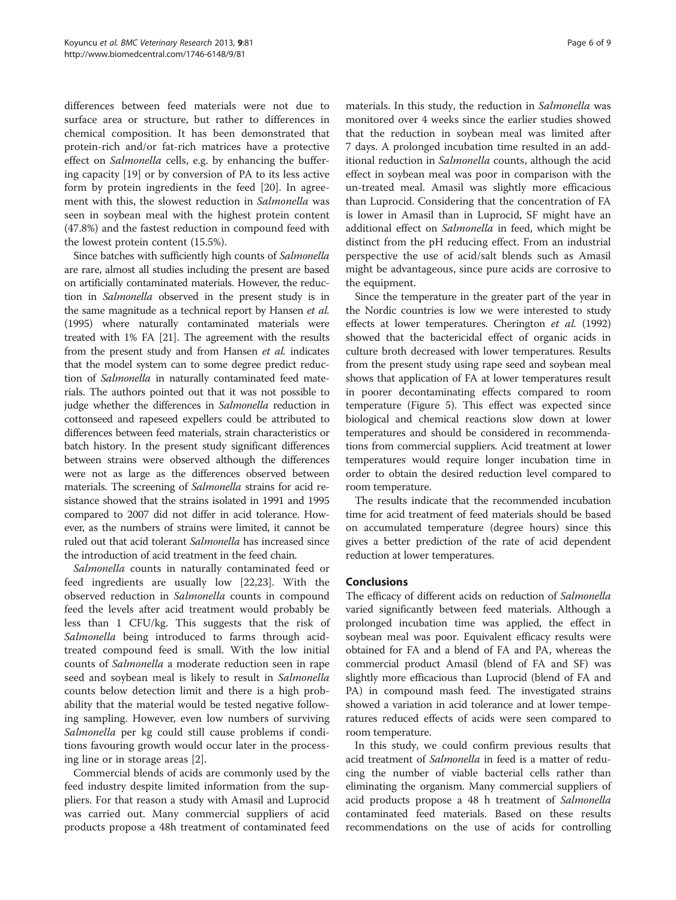differences between feed materials were not due to surface area or structure, but rather to differences in chemical composition. It has been demonstrated that protein-rich and/or fat-rich matrices have a protective effect on Salmonella cells, e.g. by enhancing the buffering capacity [[19](#page-8-0)] or by conversion of PA to its less active form by protein ingredients in the feed [[20\]](#page-8-0). In agreement with this, the slowest reduction in Salmonella was seen in soybean meal with the highest protein content (47.8%) and the fastest reduction in compound feed with the lowest protein content (15.5%).

Since batches with sufficiently high counts of Salmonella are rare, almost all studies including the present are based on artificially contaminated materials. However, the reduction in Salmonella observed in the present study is in the same magnitude as a technical report by Hansen et al. (1995) where naturally contaminated materials were treated with 1% FA [\[21\]](#page-8-0). The agreement with the results from the present study and from Hansen et al. indicates that the model system can to some degree predict reduction of Salmonella in naturally contaminated feed materials. The authors pointed out that it was not possible to judge whether the differences in Salmonella reduction in cottonseed and rapeseed expellers could be attributed to differences between feed materials, strain characteristics or batch history. In the present study significant differences between strains were observed although the differences were not as large as the differences observed between materials. The screening of Salmonella strains for acid resistance showed that the strains isolated in 1991 and 1995 compared to 2007 did not differ in acid tolerance. However, as the numbers of strains were limited, it cannot be ruled out that acid tolerant Salmonella has increased since the introduction of acid treatment in the feed chain.

Salmonella counts in naturally contaminated feed or feed ingredients are usually low [[22,23](#page-8-0)]. With the observed reduction in Salmonella counts in compound feed the levels after acid treatment would probably be less than 1 CFU/kg. This suggests that the risk of Salmonella being introduced to farms through acidtreated compound feed is small. With the low initial counts of Salmonella a moderate reduction seen in rape seed and soybean meal is likely to result in Salmonella counts below detection limit and there is a high probability that the material would be tested negative following sampling. However, even low numbers of surviving Salmonella per kg could still cause problems if conditions favouring growth would occur later in the processing line or in storage areas [[2\]](#page-8-0).

Commercial blends of acids are commonly used by the feed industry despite limited information from the suppliers. For that reason a study with Amasil and Luprocid was carried out. Many commercial suppliers of acid products propose a 48h treatment of contaminated feed

materials. In this study, the reduction in Salmonella was monitored over 4 weeks since the earlier studies showed that the reduction in soybean meal was limited after 7 days. A prolonged incubation time resulted in an additional reduction in Salmonella counts, although the acid effect in soybean meal was poor in comparison with the un-treated meal. Amasil was slightly more efficacious than Luprocid. Considering that the concentration of FA is lower in Amasil than in Luprocid, SF might have an additional effect on Salmonella in feed, which might be distinct from the pH reducing effect. From an industrial perspective the use of acid/salt blends such as Amasil might be advantageous, since pure acids are corrosive to the equipment.

Since the temperature in the greater part of the year in the Nordic countries is low we were interested to study effects at lower temperatures. Cherington et al. (1992) showed that the bactericidal effect of organic acids in culture broth decreased with lower temperatures. Results from the present study using rape seed and soybean meal shows that application of FA at lower temperatures result in poorer decontaminating effects compared to room temperature (Figure [5](#page-4-0)). This effect was expected since biological and chemical reactions slow down at lower temperatures and should be considered in recommendations from commercial suppliers. Acid treatment at lower temperatures would require longer incubation time in order to obtain the desired reduction level compared to room temperature.

The results indicate that the recommended incubation time for acid treatment of feed materials should be based on accumulated temperature (degree hours) since this gives a better prediction of the rate of acid dependent reduction at lower temperatures.

## **Conclusions**

The efficacy of different acids on reduction of Salmonella varied significantly between feed materials. Although a prolonged incubation time was applied, the effect in soybean meal was poor. Equivalent efficacy results were obtained for FA and a blend of FA and PA, whereas the commercial product Amasil (blend of FA and SF) was slightly more efficacious than Luprocid (blend of FA and PA) in compound mash feed. The investigated strains showed a variation in acid tolerance and at lower temperatures reduced effects of acids were seen compared to room temperature.

In this study, we could confirm previous results that acid treatment of Salmonella in feed is a matter of reducing the number of viable bacterial cells rather than eliminating the organism. Many commercial suppliers of acid products propose a 48 h treatment of Salmonella contaminated feed materials. Based on these results recommendations on the use of acids for controlling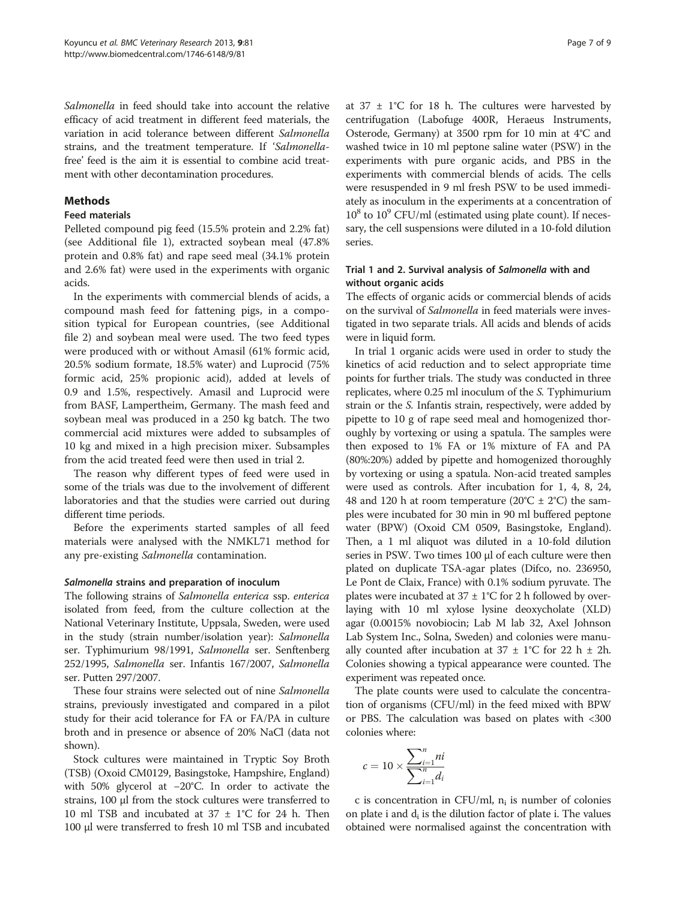Salmonella in feed should take into account the relative efficacy of acid treatment in different feed materials, the variation in acid tolerance between different Salmonella strains, and the treatment temperature. If 'Salmonellafree' feed is the aim it is essential to combine acid treatment with other decontamination procedures.

#### **Methods**

## Feed materials

Pelleted compound pig feed (15.5% protein and 2.2% fat) (see Additional file [1](#page-8-0)), extracted soybean meal (47.8% protein and 0.8% fat) and rape seed meal (34.1% protein and 2.6% fat) were used in the experiments with organic acids.

In the experiments with commercial blends of acids, a compound mash feed for fattening pigs, in a composition typical for European countries, (see Additional file [2\)](#page-8-0) and soybean meal were used. The two feed types were produced with or without Amasil (61% formic acid, 20.5% sodium formate, 18.5% water) and Luprocid (75% formic acid, 25% propionic acid), added at levels of 0.9 and 1.5%, respectively. Amasil and Luprocid were from BASF, Lampertheim, Germany. The mash feed and soybean meal was produced in a 250 kg batch. The two commercial acid mixtures were added to subsamples of 10 kg and mixed in a high precision mixer. Subsamples from the acid treated feed were then used in trial 2.

The reason why different types of feed were used in some of the trials was due to the involvement of different laboratories and that the studies were carried out during different time periods.

Before the experiments started samples of all feed materials were analysed with the NMKL71 method for any pre-existing Salmonella contamination.

## Salmonella strains and preparation of inoculum

The following strains of Salmonella enterica ssp. enterica isolated from feed, from the culture collection at the National Veterinary Institute, Uppsala, Sweden, were used in the study (strain number/isolation year): Salmonella ser. Typhimurium 98/1991, Salmonella ser. Senftenberg 252/1995, Salmonella ser. Infantis 167/2007, Salmonella ser. Putten 297/2007.

These four strains were selected out of nine Salmonella strains, previously investigated and compared in a pilot study for their acid tolerance for FA or FA/PA in culture broth and in presence or absence of 20% NaCl (data not shown).

Stock cultures were maintained in Tryptic Soy Broth (TSB) (Oxoid CM0129, Basingstoke, Hampshire, England) with 50% glycerol at −20°C. In order to activate the strains, 100 μl from the stock cultures were transferred to 10 ml TSB and incubated at  $37 \pm 1^{\circ}$ C for 24 h. Then 100 μl were transferred to fresh 10 ml TSB and incubated

at  $37 \pm 1^{\circ}$ C for 18 h. The cultures were harvested by centrifugation (Labofuge 400R, Heraeus Instruments, Osterode, Germany) at 3500 rpm for 10 min at 4°C and washed twice in 10 ml peptone saline water (PSW) in the experiments with pure organic acids, and PBS in the experiments with commercial blends of acids. The cells were resuspended in 9 ml fresh PSW to be used immediately as inoculum in the experiments at a concentration of  $10^8$  to  $10^9$  CFU/ml (estimated using plate count). If necessary, the cell suspensions were diluted in a 10-fold dilution series.

## Trial 1 and 2. Survival analysis of Salmonella with and without organic acids

The effects of organic acids or commercial blends of acids on the survival of Salmonella in feed materials were investigated in two separate trials. All acids and blends of acids were in liquid form.

In trial 1 organic acids were used in order to study the kinetics of acid reduction and to select appropriate time points for further trials. The study was conducted in three replicates, where 0.25 ml inoculum of the S. Typhimurium strain or the S. Infantis strain, respectively, were added by pipette to 10 g of rape seed meal and homogenized thoroughly by vortexing or using a spatula. The samples were then exposed to 1% FA or 1% mixture of FA and PA (80%:20%) added by pipette and homogenized thoroughly by vortexing or using a spatula. Non-acid treated samples were used as controls. After incubation for 1, 4, 8, 24, 48 and 120 h at room temperature ( $20^{\circ}C \pm 2^{\circ}C$ ) the samples were incubated for 30 min in 90 ml buffered peptone water (BPW) (Oxoid CM 0509, Basingstoke, England). Then, a 1 ml aliquot was diluted in a 10-fold dilution series in PSW. Two times 100 μl of each culture were then plated on duplicate TSA-agar plates (Difco, no. 236950, Le Pont de Claix, France) with 0.1% sodium pyruvate. The plates were incubated at  $37 \pm 1^{\circ}$ C for 2 h followed by overlaying with 10 ml xylose lysine deoxycholate (XLD) agar (0.0015% novobiocin; Lab M lab 32, Axel Johnson Lab System Inc., Solna, Sweden) and colonies were manually counted after incubation at  $37 \pm 1^{\circ}$ C for 22 h  $\pm$  2h. Colonies showing a typical appearance were counted. The experiment was repeated once.

The plate counts were used to calculate the concentration of organisms (CFU/ml) in the feed mixed with BPW or PBS. The calculation was based on plates with <300 colonies where:

$$
c = 10 \times \frac{\sum_{i=1}^{n} ni}{\sum_{i=1}^{n} d_i}
$$

c is concentration in CFU/ml,  $n_i$  is number of colonies on plate i and  $d_i$  is the dilution factor of plate i. The values obtained were normalised against the concentration with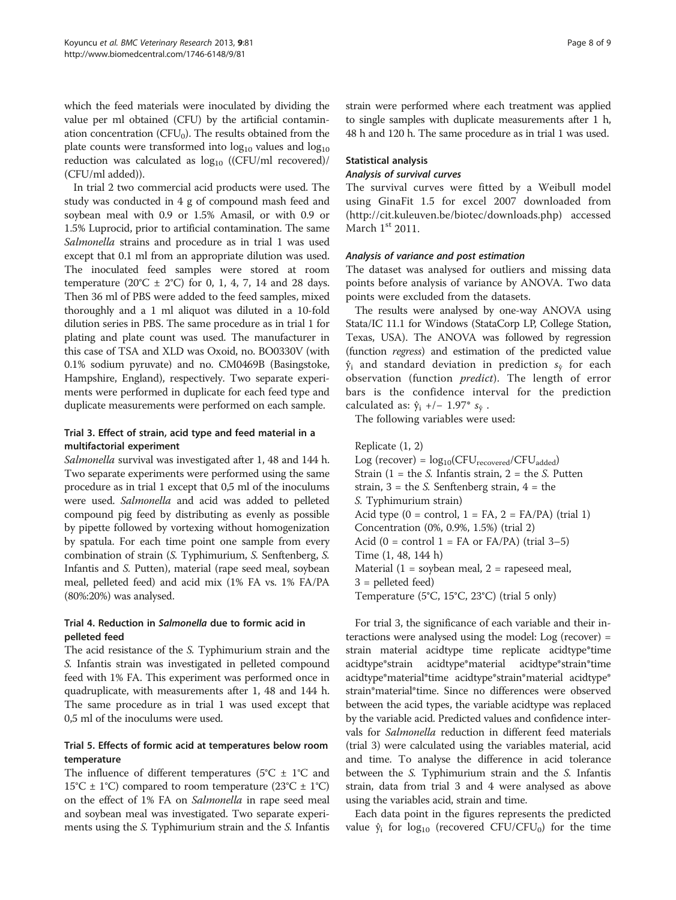which the feed materials were inoculated by dividing the value per ml obtained (CFU) by the artificial contamination concentration ( $CFU<sub>0</sub>$ ). The results obtained from the plate counts were transformed into  $log_{10}$  values and  $log_{10}$ reduction was calculated as  $log_{10}$  ((CFU/ml recovered)/ (CFU/ml added)).

In trial 2 two commercial acid products were used. The study was conducted in 4 g of compound mash feed and soybean meal with 0.9 or 1.5% Amasil, or with 0.9 or 1.5% Luprocid, prior to artificial contamination. The same Salmonella strains and procedure as in trial 1 was used except that 0.1 ml from an appropriate dilution was used. The inoculated feed samples were stored at room temperature (20 $^{\circ}$ C ± 2 $^{\circ}$ C) for 0, 1, 4, 7, 14 and 28 days. Then 36 ml of PBS were added to the feed samples, mixed thoroughly and a 1 ml aliquot was diluted in a 10-fold dilution series in PBS. The same procedure as in trial 1 for plating and plate count was used. The manufacturer in this case of TSA and XLD was Oxoid, no. BO0330V (with 0.1% sodium pyruvate) and no. CM0469B (Basingstoke, Hampshire, England), respectively. Two separate experiments were performed in duplicate for each feed type and duplicate measurements were performed on each sample.

## Trial 3. Effect of strain, acid type and feed material in a multifactorial experiment

Salmonella survival was investigated after 1, 48 and 144 h. Two separate experiments were performed using the same procedure as in trial 1 except that 0,5 ml of the inoculums were used. Salmonella and acid was added to pelleted compound pig feed by distributing as evenly as possible by pipette followed by vortexing without homogenization by spatula. For each time point one sample from every combination of strain (S. Typhimurium, S. Senftenberg, S. Infantis and S. Putten), material (rape seed meal, soybean meal, pelleted feed) and acid mix (1% FA vs. 1% FA/PA (80%:20%) was analysed.

## Trial 4. Reduction in Salmonella due to formic acid in pelleted feed

The acid resistance of the S. Typhimurium strain and the S. Infantis strain was investigated in pelleted compound feed with 1% FA. This experiment was performed once in quadruplicate, with measurements after 1, 48 and 144 h. The same procedure as in trial 1 was used except that 0,5 ml of the inoculums were used.

## Trial 5. Effects of formic acid at temperatures below room temperature

The influence of different temperatures ( $5^{\circ}C \pm 1^{\circ}C$  and 15<sup>°</sup>C  $\pm$  1<sup>°</sup>C) compared to room temperature (23<sup>°</sup>C  $\pm$  1<sup>°</sup>C) on the effect of 1% FA on Salmonella in rape seed meal and soybean meal was investigated. Two separate experiments using the S. Typhimurium strain and the S. Infantis strain were performed where each treatment was applied to single samples with duplicate measurements after 1 h, 48 h and 120 h. The same procedure as in trial 1 was used.

## Statistical analysis

## Analysis of survival curves

The survival curves were fitted by a Weibull model using GinaFit 1.5 for excel 2007 downloaded from (<http://cit.kuleuven.be/biotec/downloads.php>) accessed March  $1<sup>st</sup>$  2011.

## Analysis of variance and post estimation

The dataset was analysed for outliers and missing data points before analysis of variance by ANOVA. Two data points were excluded from the datasets.

The results were analysed by one-way ANOVA using Stata/IC 11.1 for Windows (StataCorp LP, College Station, Texas, USA). The ANOVA was followed by regression (function regress) and estimation of the predicted value  $\hat{y}_i$  and standard deviation in prediction  $s_{\hat{y}}$  for each observation (function *predict*). The length of error bars is the confidence interval for the prediction calculated as:  $\hat{y}_i$  +/- 1.97\*  $s_{\hat{y}}$ .

The following variables were used:

Replicate (1, 2) Log (recover) =  $log_{10}(CFU_{recovered}/CFU_{added})$ Strain (1 = the *S*. Infantis strain, 2 = the *S*. Putten strain,  $3 =$  the S. Senftenberg strain,  $4 =$  the S. Typhimurium strain) Acid type  $(0 = \text{control}, 1 = \text{FA}, 2 = \text{FA/PA})$  (trial 1) Concentration (0%, 0.9%, 1.5%) (trial 2) Acid (0 = control 1 = FA or FA/PA) (trial  $3-5$ ) Time (1, 48, 144 h) Material (1 = soybean meal, 2 = rapeseed meal, 3 = pelleted feed) Temperature (5°C, 15°C, 23°C) (trial 5 only)

For trial 3, the significance of each variable and their interactions were analysed using the model: Log (recover) = strain material acidtype time replicate acidtype\*time acidtype\*strain acidtype\*material acidtype\*strain\*time acidtype\*material\*time acidtype\*strain\*material acidtype\* strain\*material\*time. Since no differences were observed between the acid types, the variable acidtype was replaced by the variable acid. Predicted values and confidence intervals for Salmonella reduction in different feed materials (trial 3) were calculated using the variables material, acid and time. To analyse the difference in acid tolerance between the S. Typhimurium strain and the S. Infantis strain, data from trial 3 and 4 were analysed as above using the variables acid, strain and time.

Each data point in the figures represents the predicted value  $\hat{y}_i$  for  $\log_{10}$  (recovered CFU/CFU<sub>0</sub>) for the time